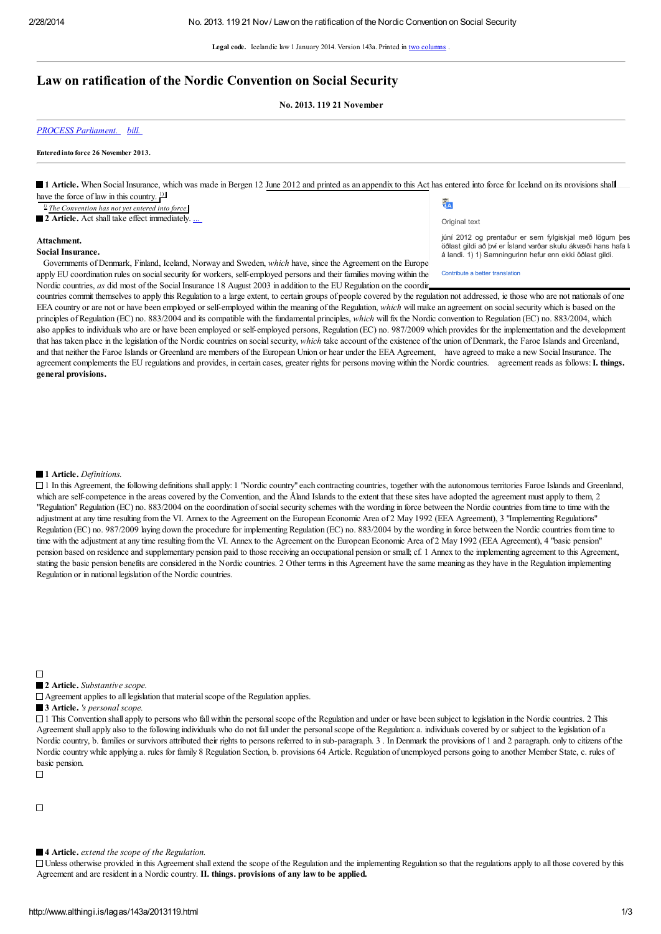Legal code. Icelandic law 1 January 2014. Version 143a. Printed in two [columns](http://www.althingi.is/dba-bin/lawformpr.pl?lnr=2013119) .

# Law on ratification of the Nordic Convention on Social Security

No. 2013. 119 21 November

*PROCESS [Parliament.](http://www.althingi.is//dba-bin/ferill.pl?ltg=143&mnr=22) [bill.](http://www.althingi.is/altext/143/s/22.html)*

#### Enteredinto force 26 November 2013.

1 Article. When Social Insurance, which was made in Bergen 12 June 2012 and printed as an appendix to this Act has entered into force for Iceland on its provisions shall have the force of law in this country.  $\frac{1}{2}$  $\frac{\overline{X}}{1}$   $\overline{A}$ *1) The Convention has not yet entered into force.* 2 Article. Act shall take effect immediately. Original text júní 2012 og prentaður er sem fylgiskjal með lögum þes Attachment. öðlast gildi að því er Ísland varðar skulu ákvæði hans hafa la Social Insurance. á landi. 1) 1) Samningurinn hefur enn ekki öðlast gildi. Governments of Denmark, Finland, Iceland, Norway and Sweden, *which* have, since the Agreement on the Europe

apply EU coordination rules on social security for workers, self-employed persons and their families moving within the Nordic countries, *as* did most of the Social Insurance 18 August 2003 in addition to the EU Regulation on the coordination of the Nordic

Contribute a better translation

countries commit themselves to apply this Regulation to a large extent, to certain groups of people covered by the regulation not addressed, ie those who are not nationals of one EEA country or are not or have been employed or self-employed within the meaning of the Regulation, *which* will make an agreement on socialsecurity which is based on the principles of Regulation (EC) no. 883/2004 and its compatible with the fundamental principles, *which* willfix the Nordic convention to Regulation (EC) no. 883/2004, which also applies to individuals who are or have been employed or self-employed persons, Regulation (EC) no. 987/2009 which provides for the implementation and the development that has taken place in the legislation of the Nordic countries on social security, *which* take account of the existence of the union of Denmark, the Faroe Islands and Greenland, and that neither the Faroe Islands or Greenland are members of the European Union or hear under the EEA Agreement, have agreed to make a new SocialInsurance. The agreement complements the EU regulations and provides, in certain cases, greater rights for persons moving within the Nordic countries. agreement reads as follows: I. things. general provisions.

#### 1 Article. *Definitions.*

 $\Box$  1 In this Agreement, the following definitions shall apply: 1 "Nordic country" each contracting countries, together with the autonomous territories Faroe Islands and Greenland, which are self-competence in the areas covered by the Convention, and the Åland Islands to the extent that these sites have adopted the agreement must apply to them, 2 "Regulation" Regulation (EC) no. 883/2004 on the coordination of social security schemes with the wording in force between the Nordic countries from time to time with the adjustment at any time resulting from the VI. Annex to the Agreement on the European Economic Area of 2 May 1992 (EEA Agreement), 3 "Implementing Regulations" Regulation (EC) no. 987/2009 laying down the procedure for implementing Regulation (EC) no. 883/2004 by the wording in force between the Nordic countries from time to time with the adjustment at any time resulting from the VI. Annex to the Agreement on the European Economic Area of 2 May 1992 (EEA Agreement), 4 "basic pension" pension based on residence and supplementary pension paid to those receiving an occupational pension or small; cf. 1 Annex to the implementing agreement to this Agreement, stating the basic pension benefits are considered in the Nordic countries. 2 Other terms in this Agreement have the same meaning as they have in the Regulation implementing Regulation or in national legislation of the Nordic countries.

■ 2 Article. *Substantive scope*.

 $\Box$  Agreement applies to all legislation that material scope of the Regulation applies.

■ 3 Article. *'s personal scope.* 

 $\Box$  1 This Convention shall apply to persons who fall within the personal scope of the Regulation and under or have been subject to legislation in the Nordic countries. 2 This Agreement shall apply also to the following individuals who do not fall under the personalscope of the Regulation: a. individuals covered by or subject to the legislation of a Nordic country, b. families or survivors attributed their rights to persons referred to in sub-paragraph. 3. In Denmark the provisions of 1 and 2 paragraph. only to citizens of the Nordic country while applying a. rules for family 8 Regulation Section, b. provisions 64 Article. Regulation of unemployed persons going to another Member State, c. rules of basic pension.

 $\Box$ 

 $\Box$ 

 $\overline{\phantom{a}}$ 

4 Article. *extend the scope of the Regulation.*

 $\Box$  Unless otherwise provided in this Agreement shall extend the scope of the Regulation and the implementing Regulation so that the regulations apply to all those covered by this Agreement and are resident in a Nordic country. II. things. provisions of any law to be applied.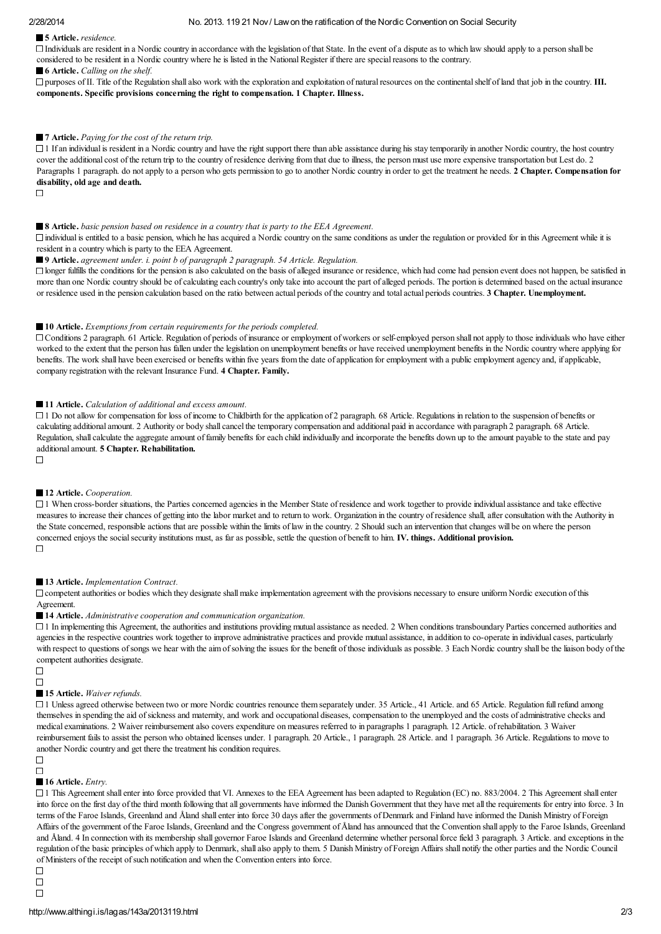# 5 Article. *residence.*

 $\Box$  Individuals are resident in a Nordic country in accordance with the legislation of that State. In the event of a dispute as to which law should apply to a person shall be considered to be resident in a Nordic country where he is listed in the National Register if there are special reasons to the contrary.

#### ■ **6** Article. *Calling on the shelf.*

 $\Box$  purposes of II. Title of the Regulation shall also work with the exploration and exploitation of natural resources on the continental shelf of land that job in the country. III. components. Specific provisions concerning the right to compensation. 1 Chapter. Illness.

## ■ 7 Article. *Paying for the cost of the return trip.*

 $\Box$  I If an individual is resident in a Nordic country and have the right support there than able assistance during his stay temporarily in another Nordic country, the host country cover the additional cost of the return trip to the country of residence deriving from that due to illness, the person must use more expensive transportation but Lest do. 2 Paragraphs 1 paragraph. do not apply to a person who gets permission to go to another Nordic country in order to get the treatment he needs. 2 Chapter. Compensation for disability, old age and death.

 $\Box$ 

## 8 Article. *basic pension based on residence in a country that is party to the EEA Agreement.*

 $\Box$  individual is entitled to a basic pension, which he has acquired a Nordic country on the same conditions as under the regulation or provided for in this Agreement while it is resident in a country which is party to the EEA Agreement.

9 Article. *agreement under. i. point b of paragraph 2 paragraph. 54 Article. Regulation.*

 $\Box$  longer fulfills the conditions for the pension is also calculated on the basis of alleged insurance or residence, which had come had pension event does not happen, be satisfied in more than one Nordic country should be of calculating each country's only take into account the part of alleged periods. The portion is determined based on the actual insurance or residence used in the pension calculation based on the ratio between actual periods of the country and total actual periods countries. 3 Chapter. Unemployment.

### 10 Article. *Exemptions from certain requirements for the periods completed.*

Conditions 2 paragraph. 61 Article. Regulation of periods of insurance or employment of workers or self-employed person shall not apply to those individuals who have either worked to the extent that the person has fallen under the legislation on unemployment benefits or have received unemployment benefits in the Nordic country where applying for benefits. The work shall have been exercised or benefits within five years from the date of application for employment with a public employment agency and, if applicable, company registration with the relevant Insurance Fund. 4 Chapter. Family.

#### 11 Article. *Calculation of additional and excess amount.*

 $\Box$  1 Do not allow for compensation for loss of income to Childbirth for the application of 2 paragraph. 68 Article. Regulations in relation to the suspension of benefits or calculating additional amount. 2 Authority or body shall cancel the temporary compensation and additional paid in accordance with paragraph 2 paragraph. 68 Article. Regulation, shall calculate the aggregate amount of family benefits for each child individually and incorporate the benefits down up to the amount payable to the state and pay additional amount. 5 Chapter. Rehabilitation.

#### $\Box$

# 12 Article. *Cooperation.*

 $\Box$  1 When cross-border situations, the Parties concerned agencies in the Member State of residence and work together to provide individual assistance and take effective measures to increase their chances of getting into the labor market and to return to work. Organization in the country of residence shall, after consultation with the Authority in the State concerned, responsible actions that are possible within the limits of law in the country. 2 Should such an intervention that changes will be on where the person concerned enjoys the social security institutions must, as far as possible, settle the question of benefit to him. IV. things. Additional provision.  $\Box$ 

#### 13 Article. *Implementation Contract.*

 $\Box$  competent authorities or bodies which they designate shall make implementation agreement with the provisions necessary to ensure uniform Nordic execution of this Agreement.

## ■ 14 Article. *Administrative cooperation and communication organization.*

 $\Box$  1 In implementing this Agreement, the authorities and institutions providing mutual assistance as needed. 2 When conditions transboundary Parties concerned authorities and agencies in the respective countries work together to improve administrative practices and provide mutual assistance, in addition to co-operate in individual cases, particularly with respect to questions of songs we hear with the aim of solving the issues for the benefit of those individuals as possible. 3 Each Nordic country shall be the liaison body of the competent authorities designate.

 $\Box$  $\Box$ 

# 15 Article. *Waiver refunds.*

 $\Box$  1 Unless agreed otherwise between two or more Nordic countries renounce them separately under. 35 Article., 41 Article. and 65 Article. Regulation full refund among themselves in spending the aid ofsickness and maternity, and work and occupational diseases, compensation to the unemployed and the costs of administrative checks and medical examinations. 2 Waiver reimbursement also covers expenditure on measures referred to in paragraphs 1 paragraph. 12 Article. of rehabilitation. 3 Waiver reimbursement fails to assist the person who obtained licenses under. 1 paragraph. 20 Article., 1 paragraph. 28 Article. and 1 paragraph. 36 Article. Regulations to move to another Nordic country and get there the treatment his condition requires.

#### $\Box$  $\Box$

# ■ 16 Article. *Entry*.

 $\Box$  1 This Agreement shall enter into force provided that VI. Annexes to the EEA Agreement has been adapted to Regulation (EC) no. 883/2004. 2 This Agreement shall enter into force on the first day of the third month following that all governments have informed the Danish Government that they have met all the requirements for entry into force. 3 In terms of the Faroe Islands, Greenland and Åland shall enter into force 30 days after the governments of Denmark and Finland have informed the Danish Ministry of Foreign Affairs of the government of the Faroe Islands, Greenland and the Congress government of Åland has announced that the Convention shall apply to the Faroe Islands, Greenland and Åland. 4 In connection with its membership shall governor Faroe Islands and Greenland determine whether personal force field 3 paragraph. 3 Article. and exceptions in the regulation of the basic principles of which apply to Denmark, shall also apply to them. 5 Danish Ministry of Foreign Affairs shall notify the other parties and the Nordic Council of Ministers of the receipt ofsuch notification and when the Convention enters into force.

 $\Box$  $\Box$  $\Box$